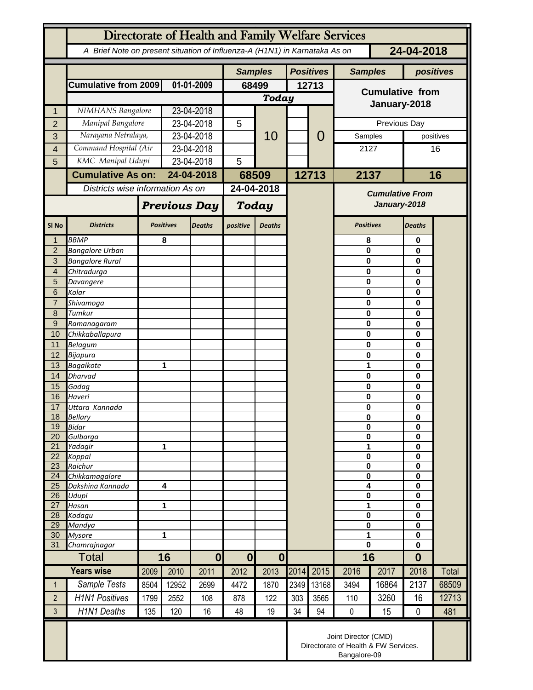| Directorate of Health and Family Welfare Services |                                                                                          |                       |                     |                |                                      |                  |      |                        |                                        |           |                  |                              |  |
|---------------------------------------------------|------------------------------------------------------------------------------------------|-----------------------|---------------------|----------------|--------------------------------------|------------------|------|------------------------|----------------------------------------|-----------|------------------|------------------------------|--|
|                                                   | A Brief Note on present situation of Influenza-A (H1N1) in Karnataka As on<br>24-04-2018 |                       |                     |                |                                      |                  |      |                        |                                        |           |                  |                              |  |
|                                                   |                                                                                          |                       |                     | <b>Samples</b> |                                      | <b>Positives</b> |      | <b>Samples</b>         |                                        | positives |                  |                              |  |
|                                                   | Cumulative from 2009                                                                     | 01-01-2009            |                     | 68499          |                                      | 12713            |      | <b>Cumulative from</b> |                                        |           |                  |                              |  |
|                                                   |                                                                                          |                       |                     |                | Today                                |                  |      |                        |                                        |           |                  |                              |  |
| 1                                                 | NIMHANS Bangalore                                                                        |                       | 23-04-2018          |                |                                      |                  |      |                        | January-2018                           |           |                  |                              |  |
| $\overline{2}$                                    | Manipal Bangalore                                                                        |                       |                     | 23-04-2018     |                                      |                  |      |                        | Previous Day                           |           |                  |                              |  |
| 3                                                 |                                                                                          | Narayana Netralaya,   |                     | 23-04-2018     |                                      | 10               |      | 0                      | Samples                                |           |                  | positives                    |  |
| $\overline{4}$                                    |                                                                                          | Command Hospital (Air |                     | 23-04-2018     |                                      |                  |      |                        | 2127                                   |           |                  | 16                           |  |
| 5                                                 | KMC Manipal Udupi                                                                        |                       |                     | 23-04-2018     |                                      |                  |      |                        |                                        |           |                  |                              |  |
|                                                   | <b>Cumulative As on:</b>                                                                 |                       |                     | 24-04-2018     |                                      | 68509            |      | 12713                  | 2137                                   |           | 16               |                              |  |
|                                                   | Districts wise information As on                                                         |                       |                     |                |                                      | 24-04-2018       |      |                        | <b>Cumulative From</b><br>January-2018 |           |                  |                              |  |
|                                                   |                                                                                          |                       | <b>Previous Day</b> |                | Today                                |                  |      |                        |                                        |           |                  |                              |  |
| SI <sub>No</sub>                                  | <b>Districts</b>                                                                         |                       | <b>Positives</b>    | <b>Deaths</b>  | positive                             | <b>Deaths</b>    |      |                        | <b>Positives</b>                       |           | <b>Deaths</b>    |                              |  |
| $\mathbf{1}$                                      | <b>BBMP</b>                                                                              |                       | 8                   |                |                                      |                  |      |                        | 8                                      |           | $\mathbf 0$      |                              |  |
| $\overline{2}$                                    | <b>Bangalore Urban</b>                                                                   |                       |                     |                |                                      |                  |      |                        | 0                                      |           | 0                |                              |  |
| $\mathbf{3}$<br>$\overline{4}$                    | <b>Bangalore Rural</b><br>Chitradurga                                                    |                       |                     |                |                                      |                  |      |                        | 0<br>0                                 |           | 0<br>0           |                              |  |
| 5                                                 | Davangere                                                                                |                       |                     |                |                                      |                  |      |                        | 0                                      |           | 0                |                              |  |
| $6\phantom{1}6$                                   | Kolar                                                                                    |                       |                     |                |                                      |                  |      |                        | 0                                      |           | 0                |                              |  |
| $\overline{7}$                                    | Shivamoga                                                                                |                       |                     |                |                                      |                  |      |                        | 0                                      |           | 0                |                              |  |
| $\boldsymbol{8}$                                  | Tumkur                                                                                   |                       |                     |                |                                      |                  |      |                        | 0                                      | 0<br>0    |                  |                              |  |
| 9<br>10                                           | Ramanagaram<br>Chikkaballapura                                                           |                       |                     |                |                                      |                  |      |                        | 0<br>0                                 |           | 0                |                              |  |
| 11                                                | Belagum                                                                                  |                       |                     |                |                                      |                  |      |                        | 0                                      |           | 0                |                              |  |
| 12                                                | Bijapura                                                                                 |                       |                     |                |                                      |                  |      |                        |                                        | 0         |                  |                              |  |
| 13                                                | <b>Bagalkote</b>                                                                         |                       | 1                   |                |                                      |                  |      |                        | 1                                      |           | 0                |                              |  |
| 14                                                | <b>Dharvad</b><br>Gadag                                                                  |                       |                     |                |                                      |                  |      |                        |                                        | 0<br>0    |                  | 0<br>0<br>0<br>0<br>$\bf{0}$ |  |
| 15<br>16                                          | Haveri                                                                                   |                       |                     |                |                                      |                  |      |                        | 0                                      |           |                  |                              |  |
| 17                                                | Uttara Kannada                                                                           |                       |                     |                |                                      |                  |      |                        | 0                                      |           |                  |                              |  |
| 18                                                | Bellary                                                                                  |                       |                     |                |                                      |                  |      |                        | 0                                      |           |                  |                              |  |
| 19<br>20                                          | <b>Bidar</b><br>Gulbarga                                                                 |                       |                     |                |                                      |                  |      |                        | 0<br>$\pmb{0}$                         |           | 0<br>$\mathbf 0$ |                              |  |
| 21                                                | Yadagir                                                                                  |                       | 1                   |                |                                      |                  |      |                        | 1                                      |           | $\bf{0}$         |                              |  |
| 22                                                | Koppal                                                                                   |                       |                     |                |                                      |                  |      |                        | $\bf{0}$                               |           | $\bf{0}$         |                              |  |
| 23                                                | Raichur                                                                                  |                       |                     |                |                                      |                  |      |                        | $\pmb{0}$                              |           | $\mathbf 0$      |                              |  |
| 24<br>25                                          | Chikkamagalore<br>Dakshina Kannada                                                       | 4                     |                     |                |                                      |                  |      |                        | $\mathbf 0$<br>4                       |           | $\mathbf 0$<br>0 |                              |  |
| 26                                                | Udupi                                                                                    |                       |                     |                |                                      |                  |      |                        | 0                                      |           | $\mathbf 0$      |                              |  |
| 27                                                | Hasan                                                                                    | 1                     |                     |                |                                      |                  |      |                        | 1                                      |           | $\mathbf 0$      |                              |  |
| 28<br>29                                          | Kodagu<br>Mandya                                                                         |                       |                     |                |                                      |                  |      |                        | 0<br>0                                 |           | $\mathbf 0$<br>0 |                              |  |
| 30                                                | <b>Mysore</b>                                                                            | 1                     |                     |                |                                      |                  |      |                        | 1                                      |           | $\mathbf 0$      |                              |  |
| 31                                                | Chamrajnagar                                                                             |                       |                     |                |                                      |                  |      |                        | 0                                      |           | $\mathbf 0$      |                              |  |
|                                                   | <b>Total</b>                                                                             |                       | 16                  |                | $\boldsymbol{0}$<br>$\boldsymbol{0}$ |                  |      |                        |                                        | 16        |                  |                              |  |
|                                                   | <b>Years wise</b>                                                                        | 2009                  | 2010                | 2011           | 2012                                 | 2013             | 2014 | 2015                   | 2016                                   | 2017      | 2018             | Total                        |  |
| $\mathbf{1}$                                      | Sample Tests                                                                             | 8504                  | 12952               | 2699           | 4472                                 | 1870             | 2349 | 13168                  | 3494                                   | 16864     | 2137             | 68509                        |  |
| $\overline{2}$                                    | <b>H1N1 Positives</b>                                                                    | 1799                  | 2552                | 108            | 878                                  | 122              | 303  | 3565                   | 110                                    | 3260      | 16               | 12713                        |  |
| 3                                                 | <b>H1N1 Deaths</b>                                                                       | 135                   | 120                 | 16             | 48                                   | 19               | 34   | 94                     | $\pmb{0}$                              | 15        | $\mathbf 0$      | 481                          |  |
|                                                   | Joint Director (CMD)<br>Directorate of Health & FW Services.<br>Bangalore-09             |                       |                     |                |                                      |                  |      |                        |                                        |           |                  |                              |  |